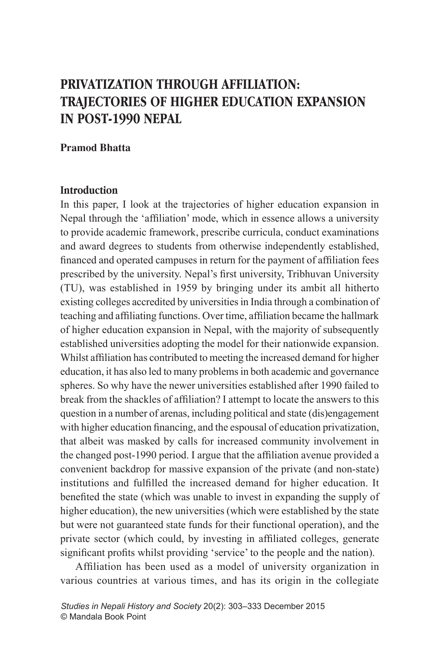# **PRIVATIZATION THROUGH AFFILIATION: TRAJECTORIES OF HIGHER EDUCATION EXPANSION IN POST-1990 NEPAL**

## **Pramod Bhatta**

# **Introduction**

In this paper, I look at the trajectories of higher education expansion in Nepal through the 'affiliation' mode, which in essence allows a university to provide academic framework, prescribe curricula, conduct examinations and award degrees to students from otherwise independently established, financed and operated campuses in return for the payment of affiliation fees prescribed by the university. Nepal's first university, Tribhuvan University (TU), was established in 1959 by bringing under its ambit all hitherto existing colleges accredited by universities in India through a combination of teaching and affiliating functions. Over time, affiliation became the hallmark of higher education expansion in Nepal, with the majority of subsequently established universities adopting the model for their nationwide expansion. Whilst affiliation has contributed to meeting the increased demand for higher education, it has also led to many problems in both academic and governance spheres. So why have the newer universities established after 1990 failed to break from the shackles of affiliation? I attempt to locate the answers to this question in a number of arenas, including political and state (dis)engagement with higher education financing, and the espousal of education privatization, that albeit was masked by calls for increased community involvement in the changed post-1990 period. I argue that the affiliation avenue provided a convenient backdrop for massive expansion of the private (and non-state) institutions and fulfilled the increased demand for higher education. It benefited the state (which was unable to invest in expanding the supply of higher education), the new universities (which were established by the state but were not guaranteed state funds for their functional operation), and the private sector (which could, by investing in affiliated colleges, generate significant profits whilst providing 'service' to the people and the nation).

Affiliation has been used as a model of university organization in various countries at various times, and has its origin in the collegiate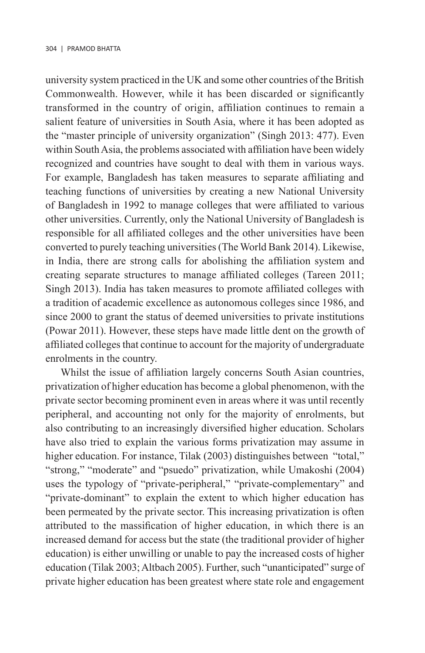university system practiced in the UK and some other countries of the British Commonwealth. However, while it has been discarded or significantly transformed in the country of origin, affiliation continues to remain a salient feature of universities in South Asia, where it has been adopted as the "master principle of university organization" (Singh 2013: 477). Even within South Asia, the problems associated with affiliation have been widely recognized and countries have sought to deal with them in various ways. For example, Bangladesh has taken measures to separate affiliating and teaching functions of universities by creating a new National University of Bangladesh in 1992 to manage colleges that were affiliated to various other universities. Currently, only the National University of Bangladesh is responsible for all affiliated colleges and the other universities have been converted to purely teaching universities (The World Bank 2014). Likewise, in India, there are strong calls for abolishing the affiliation system and creating separate structures to manage affiliated colleges (Tareen 2011; Singh 2013). India has taken measures to promote affiliated colleges with a tradition of academic excellence as autonomous colleges since 1986, and since 2000 to grant the status of deemed universities to private institutions (Powar 2011). However, these steps have made little dent on the growth of affiliated colleges that continue to account for the majority of undergraduate enrolments in the country.

Whilst the issue of affiliation largely concerns South Asian countries, privatization of higher education has become a global phenomenon, with the private sector becoming prominent even in areas where it was until recently peripheral, and accounting not only for the majority of enrolments, but also contributing to an increasingly diversified higher education. Scholars have also tried to explain the various forms privatization may assume in higher education. For instance, Tilak (2003) distinguishes between "total," "strong," "moderate" and "psuedo" privatization, while Umakoshi (2004) uses the typology of "private-peripheral," "private-complementary" and "private-dominant" to explain the extent to which higher education has been permeated by the private sector. This increasing privatization is often attributed to the massification of higher education, in which there is an increased demand for access but the state (the traditional provider of higher education) is either unwilling or unable to pay the increased costs of higher education (Tilak 2003; Altbach 2005). Further, such "unanticipated" surge of private higher education has been greatest where state role and engagement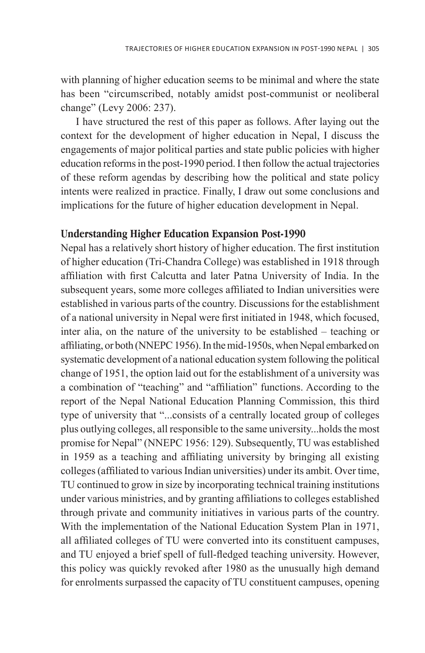with planning of higher education seems to be minimal and where the state has been "circumscribed, notably amidst post-communist or neoliberal change" (Levy 2006: 237).

I have structured the rest of this paper as follows. After laying out the context for the development of higher education in Nepal, I discuss the engagements of major political parties and state public policies with higher education reforms in the post-1990 period. I then follow the actual trajectories of these reform agendas by describing how the political and state policy intents were realized in practice. Finally, I draw out some conclusions and implications for the future of higher education development in Nepal.

# **Understanding Higher Education Expansion Post-1990**

Nepal has a relatively short history of higher education. The first institution of higher education (Tri-Chandra College) was established in 1918 through affiliation with first Calcutta and later Patna University of India. In the subsequent years, some more colleges affiliated to Indian universities were established in various parts of the country. Discussions for the establishment of a national university in Nepal were first initiated in 1948, which focused, inter alia, on the nature of the university to be established – teaching or affiliating, or both (NNEPC 1956). In the mid-1950s, when Nepal embarked on systematic development of a national education system following the political change of 1951, the option laid out for the establishment of a university was a combination of "teaching" and "affiliation" functions. According to the report of the Nepal National Education Planning Commission, this third type of university that "...consists of a centrally located group of colleges plus outlying colleges, all responsible to the same university...holds the most promise for Nepal" (NNEPC 1956: 129). Subsequently, TU was established in 1959 as a teaching and affiliating university by bringing all existing colleges (affiliated to various Indian universities) under its ambit. Over time, TU continued to grow in size by incorporating technical training institutions under various ministries, and by granting affiliations to colleges established through private and community initiatives in various parts of the country. With the implementation of the National Education System Plan in 1971, all affiliated colleges of TU were converted into its constituent campuses, and TU enjoyed a brief spell of full-fledged teaching university. However, this policy was quickly revoked after 1980 as the unusually high demand for enrolments surpassed the capacity of TU constituent campuses, opening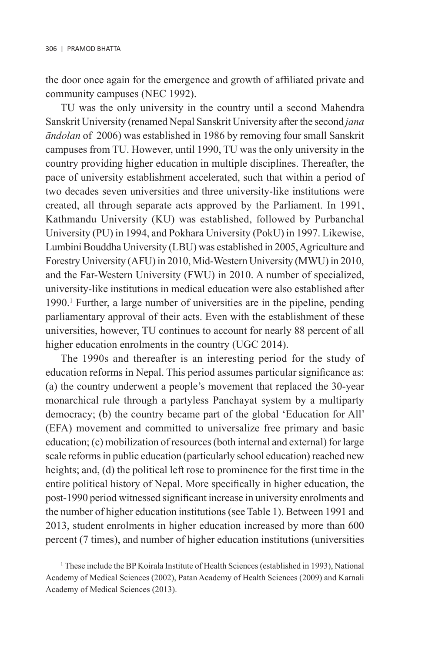the door once again for the emergence and growth of affiliated private and community campuses (NEC 1992).

TU was the only university in the country until a second Mahendra Sanskrit University (renamed Nepal Sanskrit University after the second *jana àndolan* of 2006) was established in 1986 by removing four small Sanskrit campuses from TU. However, until 1990, TU was the only university in the country providing higher education in multiple disciplines. Thereafter, the pace of university establishment accelerated, such that within a period of two decades seven universities and three university-like institutions were created, all through separate acts approved by the Parliament. In 1991, Kathmandu University (KU) was established, followed by Purbanchal University (PU) in 1994, and Pokhara University (PokU) in 1997. Likewise, Lumbini Bouddha University (LBU) was established in 2005, Agriculture and Forestry University (AFU) in 2010, Mid-Western University (MWU) in 2010, and the Far-Western University (FWU) in 2010. A number of specialized, university-like institutions in medical education were also established after 1990.1 Further, a large number of universities are in the pipeline, pending parliamentary approval of their acts. Even with the establishment of these universities, however, TU continues to account for nearly 88 percent of all higher education enrolments in the country (UGC 2014).

The 1990s and thereafter is an interesting period for the study of education reforms in Nepal. This period assumes particular significance as: (a) the country underwent a people's movement that replaced the 30-year monarchical rule through a partyless Panchayat system by a multiparty democracy; (b) the country became part of the global 'Education for All' (EFA) movement and committed to universalize free primary and basic education; (c) mobilization of resources (both internal and external) for large scale reforms in public education (particularly school education) reached new heights; and, (d) the political left rose to prominence for the first time in the entire political history of Nepal. More specifically in higher education, the post-1990 period witnessed significant increase in university enrolments and the number of higher education institutions (see Table 1). Between 1991 and 2013, student enrolments in higher education increased by more than 600 percent (7 times), and number of higher education institutions (universities

<sup>&</sup>lt;sup>1</sup> These include the BP Koirala Institute of Health Sciences (established in 1993), National Academy of Medical Sciences (2002), Patan Academy of Health Sciences (2009) and Karnali Academy of Medical Sciences (2013).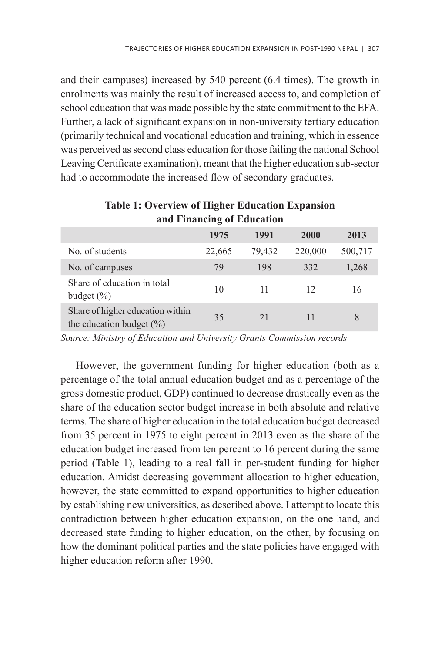and their campuses) increased by 540 percent (6.4 times). The growth in enrolments was mainly the result of increased access to, and completion of school education that was made possible by the state commitment to the EFA. Further, a lack of significant expansion in non-university tertiary education (primarily technical and vocational education and training, which in essence was perceived as second class education for those failing the national School Leaving Certificate examination), meant that the higher education sub-sector had to accommodate the increased flow of secondary graduates.

|                                                                  | 1975   | 1991   | 2000    | 2013    |
|------------------------------------------------------------------|--------|--------|---------|---------|
| No. of students                                                  | 22,665 | 79,432 | 220,000 | 500,717 |
| No. of campuses                                                  | 79     | 198    | 332     | 1,268   |
| Share of education in total<br>budget $(\% )$                    | 10     | 11     | 12      | 16      |
| Share of higher education within<br>the education budget $(\% )$ | 35     | 21     | 11      | 8       |

# **Table 1: Overview of Higher Education Expansion and Financing of Education**

*Source: Ministry of Education and University Grants Commission records*

However, the government funding for higher education (both as a percentage of the total annual education budget and as a percentage of the gross domestic product, GDP) continued to decrease drastically even as the share of the education sector budget increase in both absolute and relative terms. The share of higher education in the total education budget decreased from 35 percent in 1975 to eight percent in 2013 even as the share of the education budget increased from ten percent to 16 percent during the same period (Table 1), leading to a real fall in per-student funding for higher education. Amidst decreasing government allocation to higher education, however, the state committed to expand opportunities to higher education by establishing new universities, as described above. I attempt to locate this contradiction between higher education expansion, on the one hand, and decreased state funding to higher education, on the other, by focusing on how the dominant political parties and the state policies have engaged with higher education reform after 1990.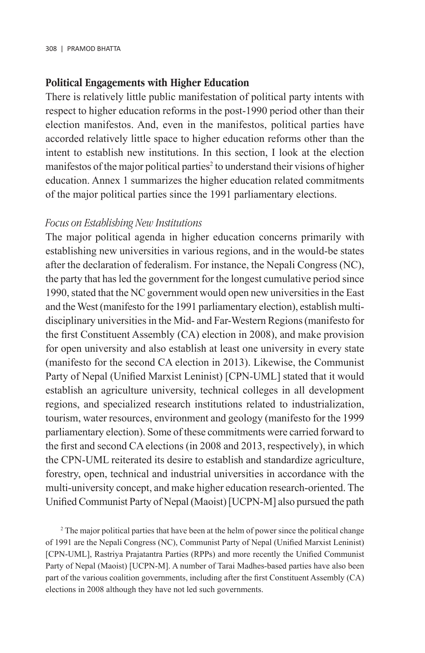## **Political Engagements with Higher Education**

There is relatively little public manifestation of political party intents with respect to higher education reforms in the post-1990 period other than their election manifestos. And, even in the manifestos, political parties have accorded relatively little space to higher education reforms other than the intent to establish new institutions. In this section, I look at the election manifestos of the major political parties<sup>2</sup> to understand their visions of higher education. Annex 1 summarizes the higher education related commitments of the major political parties since the 1991 parliamentary elections.

### *Focus on Establishing New Institutions*

The major political agenda in higher education concerns primarily with establishing new universities in various regions, and in the would-be states after the declaration of federalism. For instance, the Nepali Congress (NC), the party that has led the government for the longest cumulative period since 1990, stated that the NC government would open new universities in the East and the West (manifesto for the 1991 parliamentary election), establish multidisciplinary universities in the Mid- and Far-Western Regions (manifesto for the first Constituent Assembly (CA) election in 2008), and make provision for open university and also establish at least one university in every state (manifesto for the second CA election in 2013). Likewise, the Communist Party of Nepal (Unified Marxist Leninist) [CPN-UML] stated that it would establish an agriculture university, technical colleges in all development regions, and specialized research institutions related to industrialization, tourism, water resources, environment and geology (manifesto for the 1999 parliamentary election). Some of these commitments were carried forward to the first and second CA elections (in 2008 and 2013, respectively), in which the CPN-UML reiterated its desire to establish and standardize agriculture, forestry, open, technical and industrial universities in accordance with the multi-university concept, and make higher education research-oriented. The Unified Communist Party of Nepal (Maoist) [UCPN-M] also pursued the path

<sup>2</sup> The major political parties that have been at the helm of power since the political change of 1991 are the Nepali Congress (NC), Communist Party of Nepal (Unified Marxist Leninist) [CPN-UML], Rastriya Prajatantra Parties (RPPs) and more recently the Unified Communist Party of Nepal (Maoist) [UCPN-M]. A number of Tarai Madhes-based parties have also been part of the various coalition governments, including after the first Constituent Assembly (CA) elections in 2008 although they have not led such governments.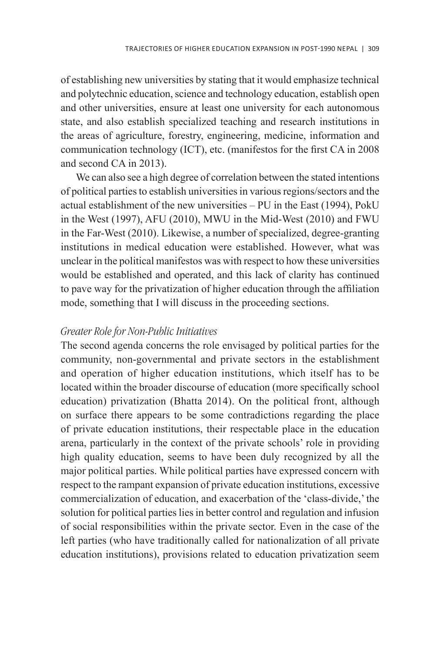of establishing new universities by stating that it would emphasize technical and polytechnic education, science and technology education, establish open and other universities, ensure at least one university for each autonomous state, and also establish specialized teaching and research institutions in the areas of agriculture, forestry, engineering, medicine, information and communication technology (ICT), etc. (manifestos for the first CA in 2008 and second CA in 2013).

We can also see a high degree of correlation between the stated intentions of political parties to establish universities in various regions/sectors and the actual establishment of the new universities – PU in the East (1994), PokU in the West (1997), AFU (2010), MWU in the Mid-West (2010) and FWU in the Far-West (2010). Likewise, a number of specialized, degree-granting institutions in medical education were established. However, what was unclear in the political manifestos was with respect to how these universities would be established and operated, and this lack of clarity has continued to pave way for the privatization of higher education through the affiliation mode, something that I will discuss in the proceeding sections.

# *Greater Role for Non-Public Initiatives*

The second agenda concerns the role envisaged by political parties for the community, non-governmental and private sectors in the establishment and operation of higher education institutions, which itself has to be located within the broader discourse of education (more specifically school education) privatization (Bhatta 2014). On the political front, although on surface there appears to be some contradictions regarding the place of private education institutions, their respectable place in the education arena, particularly in the context of the private schools' role in providing high quality education, seems to have been duly recognized by all the major political parties. While political parties have expressed concern with respect to the rampant expansion of private education institutions, excessive commercialization of education, and exacerbation of the 'class-divide,' the solution for political parties lies in better control and regulation and infusion of social responsibilities within the private sector. Even in the case of the left parties (who have traditionally called for nationalization of all private education institutions), provisions related to education privatization seem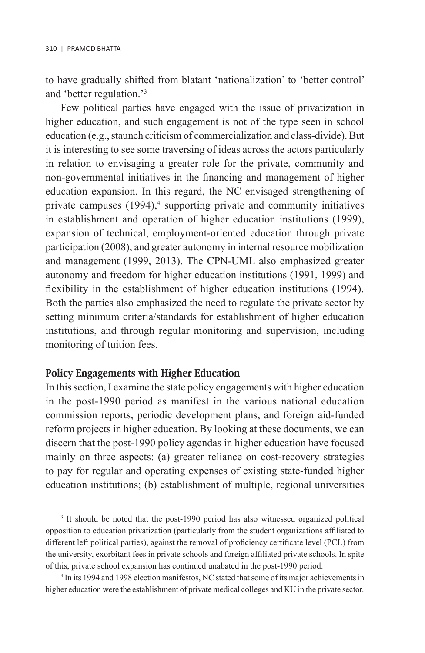to have gradually shifted from blatant 'nationalization' to 'better control' and 'better regulation.'3

Few political parties have engaged with the issue of privatization in higher education, and such engagement is not of the type seen in school education (e.g., staunch criticism of commercialization and class-divide). But it is interesting to see some traversing of ideas across the actors particularly in relation to envisaging a greater role for the private, community and non-governmental initiatives in the financing and management of higher education expansion. In this regard, the NC envisaged strengthening of private campuses (1994),<sup>4</sup> supporting private and community initiatives in establishment and operation of higher education institutions (1999), expansion of technical, employment-oriented education through private participation (2008), and greater autonomy in internal resource mobilization and management (1999, 2013). The CPN-UML also emphasized greater autonomy and freedom for higher education institutions (1991, 1999) and flexibility in the establishment of higher education institutions (1994). Both the parties also emphasized the need to regulate the private sector by setting minimum criteria/standards for establishment of higher education institutions, and through regular monitoring and supervision, including monitoring of tuition fees.

#### **Policy Engagements with Higher Education**

In this section, I examine the state policy engagements with higher education in the post-1990 period as manifest in the various national education commission reports, periodic development plans, and foreign aid-funded reform projects in higher education. By looking at these documents, we can discern that the post-1990 policy agendas in higher education have focused mainly on three aspects: (a) greater reliance on cost-recovery strategies to pay for regular and operating expenses of existing state-funded higher education institutions; (b) establishment of multiple, regional universities

<sup>3</sup> It should be noted that the post-1990 period has also witnessed organized political opposition to education privatization (particularly from the student organizations affiliated to different left political parties), against the removal of proficiency certificate level (PCL) from the university, exorbitant fees in private schools and foreign affiliated private schools. In spite of this, private school expansion has continued unabated in the post-1990 period.

4 In its 1994 and 1998 election manifestos, NC stated that some of its major achievements in higher education were the establishment of private medical colleges and KU in the private sector.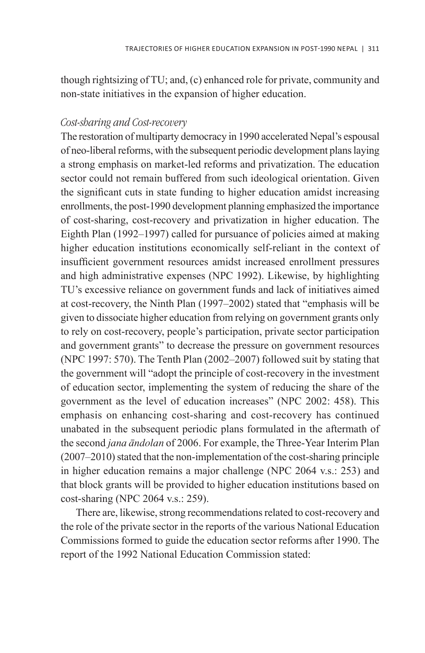though rightsizing of TU; and, (c) enhanced role for private, community and non-state initiatives in the expansion of higher education.

### *Cost-sharing and Cost-recovery*

The restoration of multiparty democracy in 1990 accelerated Nepal's espousal of neo-liberal reforms, with the subsequent periodic development plans laying a strong emphasis on market-led reforms and privatization. The education sector could not remain buffered from such ideological orientation. Given the significant cuts in state funding to higher education amidst increasing enrollments, the post-1990 development planning emphasized the importance of cost-sharing, cost-recovery and privatization in higher education. The Eighth Plan (1992–1997) called for pursuance of policies aimed at making higher education institutions economically self-reliant in the context of insufficient government resources amidst increased enrollment pressures and high administrative expenses (NPC 1992). Likewise, by highlighting TU's excessive reliance on government funds and lack of initiatives aimed at cost-recovery, the Ninth Plan (1997–2002) stated that "emphasis will be given to dissociate higher education from relying on government grants only to rely on cost-recovery, people's participation, private sector participation and government grants" to decrease the pressure on government resources (NPC 1997: 570). The Tenth Plan (2002–2007) followed suit by stating that the government will "adopt the principle of cost-recovery in the investment of education sector, implementing the system of reducing the share of the government as the level of education increases" (NPC 2002: 458). This emphasis on enhancing cost-sharing and cost-recovery has continued unabated in the subsequent periodic plans formulated in the aftermath of the second *jana àndolan* of 2006. For example, the Three-Year Interim Plan (2007–2010) stated that the non-implementation of the cost-sharing principle in higher education remains a major challenge (NPC 2064 v.s.: 253) and that block grants will be provided to higher education institutions based on cost-sharing (NPC 2064 v.s.: 259).

There are, likewise, strong recommendations related to cost-recovery and the role of the private sector in the reports of the various National Education Commissions formed to guide the education sector reforms after 1990. The report of the 1992 National Education Commission stated: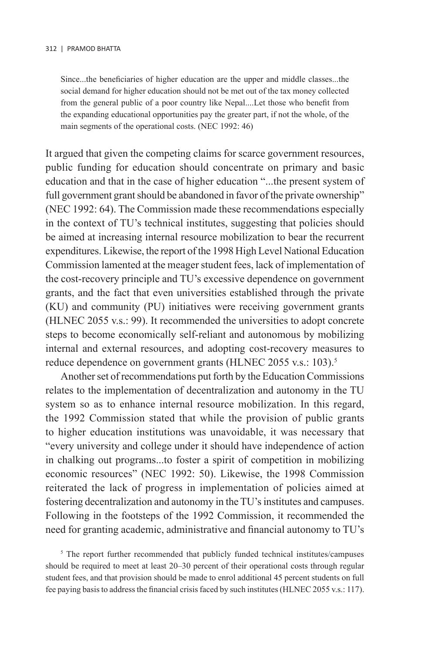Since...the beneficiaries of higher education are the upper and middle classes...the social demand for higher education should not be met out of the tax money collected from the general public of a poor country like Nepal....Let those who benefit from the expanding educational opportunities pay the greater part, if not the whole, of the main segments of the operational costs. (NEC 1992: 46)

It argued that given the competing claims for scarce government resources, public funding for education should concentrate on primary and basic education and that in the case of higher education "...the present system of full government grant should be abandoned in favor of the private ownership" (NEC 1992: 64). The Commission made these recommendations especially in the context of TU's technical institutes, suggesting that policies should be aimed at increasing internal resource mobilization to bear the recurrent expenditures. Likewise, the report of the 1998 High Level National Education Commission lamented at the meager student fees, lack of implementation of the cost-recovery principle and TU's excessive dependence on government grants, and the fact that even universities established through the private (KU) and community (PU) initiatives were receiving government grants (HLNEC 2055 v.s.: 99). It recommended the universities to adopt concrete steps to become economically self-reliant and autonomous by mobilizing internal and external resources, and adopting cost-recovery measures to reduce dependence on government grants (HLNEC 2055 v.s.: 103).<sup>5</sup>

Another set of recommendations put forth by the Education Commissions relates to the implementation of decentralization and autonomy in the TU system so as to enhance internal resource mobilization. In this regard, the 1992 Commission stated that while the provision of public grants to higher education institutions was unavoidable, it was necessary that "every university and college under it should have independence of action in chalking out programs...to foster a spirit of competition in mobilizing economic resources" (NEC 1992: 50). Likewise, the 1998 Commission reiterated the lack of progress in implementation of policies aimed at fostering decentralization and autonomy in the TU's institutes and campuses. Following in the footsteps of the 1992 Commission, it recommended the need for granting academic, administrative and financial autonomy to TU's

<sup>5</sup> The report further recommended that publicly funded technical institutes/campuses should be required to meet at least 20–30 percent of their operational costs through regular student fees, and that provision should be made to enrol additional 45 percent students on full fee paying basis to address the financial crisis faced by such institutes (HLNEC 2055 v.s.: 117).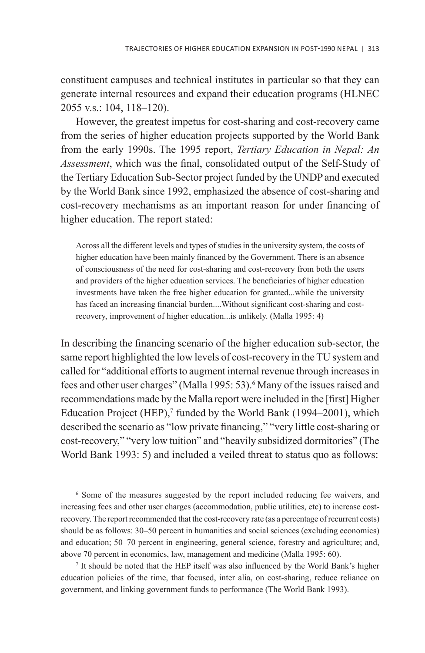constituent campuses and technical institutes in particular so that they can generate internal resources and expand their education programs (HLNEC 2055 v.s.: 104, 118–120).

However, the greatest impetus for cost-sharing and cost-recovery came from the series of higher education projects supported by the World Bank from the early 1990s. The 1995 report, *Tertiary Education in Nepal: An Assessment*, which was the final, consolidated output of the Self-Study of the Tertiary Education Sub-Sector project funded by the UNDP and executed by the World Bank since 1992, emphasized the absence of cost-sharing and cost-recovery mechanisms as an important reason for under financing of higher education. The report stated:

Across all the different levels and types of studies in the university system, the costs of higher education have been mainly financed by the Government. There is an absence of consciousness of the need for cost-sharing and cost-recovery from both the users and providers of the higher education services. The beneficiaries of higher education investments have taken the free higher education for granted...while the university has faced an increasing financial burden....Without significant cost-sharing and costrecovery, improvement of higher education...is unlikely. (Malla 1995: 4)

In describing the financing scenario of the higher education sub-sector, the same report highlighted the low levels of cost-recovery in the TU system and called for "additional efforts to augment internal revenue through increases in fees and other user charges" (Malla 1995: 53).<sup>6</sup> Many of the issues raised and recommendations made by the Malla report were included in the [first] Higher Education Project  $(HEP)$ ,<sup>7</sup> funded by the World Bank (1994–2001), which described the scenario as "low private financing," "very little cost-sharing or cost-recovery," "very low tuition" and "heavily subsidized dormitories" (The World Bank 1993: 5) and included a veiled threat to status quo as follows:

6 Some of the measures suggested by the report included reducing fee waivers, and increasing fees and other user charges (accommodation, public utilities, etc) to increase costrecovery. The report recommended that the cost-recovery rate (as a percentage of recurrent costs) should be as follows: 30–50 percent in humanities and social sciences (excluding economics) and education; 50–70 percent in engineering, general science, forestry and agriculture; and, above 70 percent in economics, law, management and medicine (Malla 1995: 60).

7 It should be noted that the HEP itself was also influenced by the World Bank's higher education policies of the time, that focused, inter alia, on cost-sharing, reduce reliance on government, and linking government funds to performance (The World Bank 1993).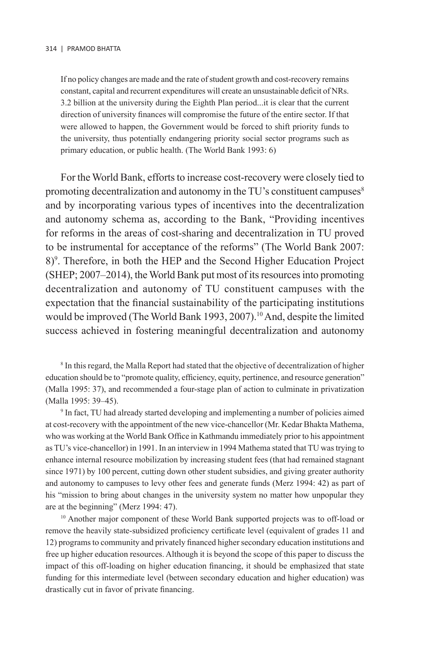If no policy changes are made and the rate of student growth and cost-recovery remains constant, capital and recurrent expenditures will create an unsustainable deficit of NRs. 3.2 billion at the university during the Eighth Plan period...it is clear that the current direction of university finances will compromise the future of the entire sector. If that were allowed to happen, the Government would be forced to shift priority funds to the university, thus potentially endangering priority social sector programs such as primary education, or public health. (The World Bank 1993: 6)

For the World Bank, efforts to increase cost-recovery were closely tied to promoting decentralization and autonomy in the TU's constituent campuses<sup>8</sup> and by incorporating various types of incentives into the decentralization and autonomy schema as, according to the Bank, "Providing incentives for reforms in the areas of cost-sharing and decentralization in TU proved to be instrumental for acceptance of the reforms" (The World Bank 2007: 8)9 . Therefore, in both the HEP and the Second Higher Education Project (SHEP; 2007–2014), the World Bank put most of its resources into promoting decentralization and autonomy of TU constituent campuses with the expectation that the financial sustainability of the participating institutions would be improved (The World Bank 1993, 2007).<sup>10</sup> And, despite the limited success achieved in fostering meaningful decentralization and autonomy

<sup>8</sup> In this regard, the Malla Report had stated that the objective of decentralization of higher education should be to "promote quality, efficiency, equity, pertinence, and resource generation" (Malla 1995: 37), and recommended a four-stage plan of action to culminate in privatization (Malla 1995: 39–45).

9 In fact, TU had already started developing and implementing a number of policies aimed at cost-recovery with the appointment of the new vice-chancellor (Mr. Kedar Bhakta Mathema, who was working at the World Bank Office in Kathmandu immediately prior to his appointment as TU's vice-chancellor) in 1991. In an interview in 1994 Mathema stated that TU was trying to enhance internal resource mobilization by increasing student fees (that had remained stagnant since 1971) by 100 percent, cutting down other student subsidies, and giving greater authority and autonomy to campuses to levy other fees and generate funds (Merz 1994: 42) as part of his "mission to bring about changes in the university system no matter how unpopular they are at the beginning" (Merz 1994: 47).

10 Another major component of these World Bank supported projects was to off-load or remove the heavily state-subsidized proficiency certificate level (equivalent of grades 11 and 12) programs to community and privately financed higher secondary education institutions and free up higher education resources. Although it is beyond the scope of this paper to discuss the impact of this off-loading on higher education financing, it should be emphasized that state funding for this intermediate level (between secondary education and higher education) was drastically cut in favor of private financing.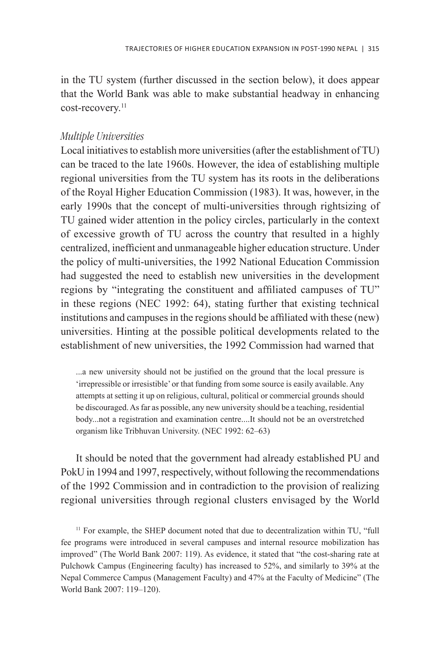in the TU system (further discussed in the section below), it does appear that the World Bank was able to make substantial headway in enhancing cost-recovery.<sup>11</sup>

# *Multiple Universities*

Local initiatives to establish more universities (after the establishment of TU) can be traced to the late 1960s. However, the idea of establishing multiple regional universities from the TU system has its roots in the deliberations of the Royal Higher Education Commission (1983). It was, however, in the early 1990s that the concept of multi-universities through rightsizing of TU gained wider attention in the policy circles, particularly in the context of excessive growth of TU across the country that resulted in a highly centralized, inefficient and unmanageable higher education structure. Under the policy of multi-universities, the 1992 National Education Commission had suggested the need to establish new universities in the development regions by "integrating the constituent and affiliated campuses of TU" in these regions (NEC 1992: 64), stating further that existing technical institutions and campuses in the regions should be affiliated with these (new) universities. Hinting at the possible political developments related to the establishment of new universities, the 1992 Commission had warned that

...a new university should not be justified on the ground that the local pressure is 'irrepressible or irresistible' or that funding from some source is easily available. Any attempts at setting it up on religious, cultural, political or commercial grounds should be discouraged. As far as possible, any new university should be a teaching, residential body...not a registration and examination centre....It should not be an overstretched organism like Tribhuvan University. (NEC 1992: 62–63)

It should be noted that the government had already established PU and PokU in 1994 and 1997, respectively, without following the recommendations of the 1992 Commission and in contradiction to the provision of realizing regional universities through regional clusters envisaged by the World

<sup>11</sup> For example, the SHEP document noted that due to decentralization within TU, "full fee programs were introduced in several campuses and internal resource mobilization has improved" (The World Bank 2007: 119). As evidence, it stated that "the cost-sharing rate at Pulchowk Campus (Engineering faculty) has increased to 52%, and similarly to 39% at the Nepal Commerce Campus (Management Faculty) and 47% at the Faculty of Medicine" (The World Bank 2007: 119–120).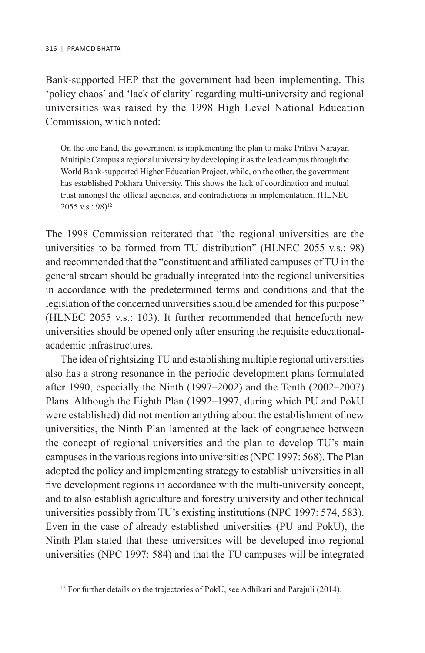Bank-supported HEP that the government had been implementing. This 'policy chaos' and 'lack of clarity' regarding multi-university and regional universities was raised by the 1998 High Level National Education Commission, which noted:

On the one hand, the government is implementing the plan to make Prithvi Narayan Multiple Campus a regional university by developing it as the lead campus through the World Bank-supported Higher Education Project, while, on the other, the government has established Pokhara University. This shows the lack of coordination and mutual trust amongst the official agencies, and contradictions in implementation. (HLNEC 2055 v.s.: 98)12

The 1998 Commission reiterated that "the regional universities are the universities to be formed from TU distribution" (HLNEC 2055 v.s.: 98) and recommended that the "constituent and affiliated campuses of TU in the general stream should be gradually integrated into the regional universities in accordance with the predetermined terms and conditions and that the legislation of the concerned universities should be amended for this purpose" (HLNEC 2055 v.s.: 103). It further recommended that henceforth new universities should be opened only after ensuring the requisite educationalacademic infrastructures.

The idea of rightsizing TU and establishing multiple regional universities also has a strong resonance in the periodic development plans formulated after 1990, especially the Ninth (1997–2002) and the Tenth (2002–2007) Plans. Although the Eighth Plan (1992–1997, during which PU and PokU were established) did not mention anything about the establishment of new universities, the Ninth Plan lamented at the lack of congruence between the concept of regional universities and the plan to develop TU's main campuses in the various regions into universities (NPC 1997: 568). The Plan adopted the policy and implementing strategy to establish universities in all five development regions in accordance with the multi-university concept, and to also establish agriculture and forestry university and other technical universities possibly from TU's existing institutions (NPC 1997: 574, 583). Even in the case of already established universities (PU and PokU), the Ninth Plan stated that these universities will be developed into regional universities (NPC 1997: 584) and that the TU campuses will be integrated

<sup>&</sup>lt;sup>12</sup> For further details on the trajectories of PokU, see Adhikari and Parajuli (2014).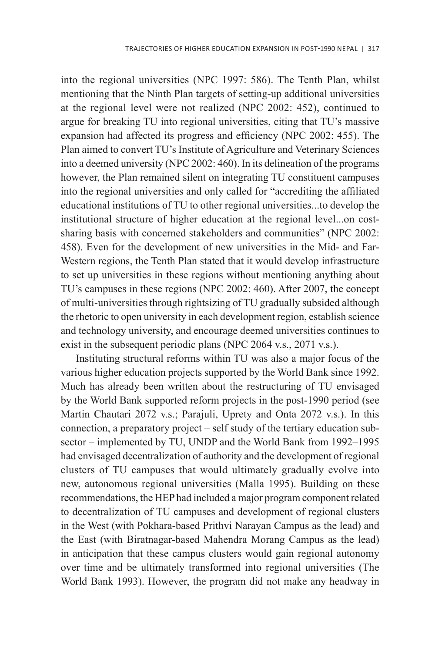into the regional universities (NPC 1997: 586). The Tenth Plan, whilst mentioning that the Ninth Plan targets of setting-up additional universities at the regional level were not realized (NPC 2002: 452), continued to argue for breaking TU into regional universities, citing that TU's massive expansion had affected its progress and efficiency (NPC 2002: 455). The Plan aimed to convert TU's Institute of Agriculture and Veterinary Sciences into a deemed university (NPC 2002: 460). In its delineation of the programs however, the Plan remained silent on integrating TU constituent campuses into the regional universities and only called for "accrediting the affiliated educational institutions of TU to other regional universities...to develop the institutional structure of higher education at the regional level...on costsharing basis with concerned stakeholders and communities" (NPC 2002: 458). Even for the development of new universities in the Mid- and Far-Western regions, the Tenth Plan stated that it would develop infrastructure to set up universities in these regions without mentioning anything about TU's campuses in these regions (NPC 2002: 460). After 2007, the concept of multi-universities through rightsizing of TU gradually subsided although the rhetoric to open university in each development region, establish science and technology university, and encourage deemed universities continues to exist in the subsequent periodic plans (NPC 2064 v.s., 2071 v.s.).

Instituting structural reforms within TU was also a major focus of the various higher education projects supported by the World Bank since 1992. Much has already been written about the restructuring of TU envisaged by the World Bank supported reform projects in the post-1990 period (see Martin Chautari 2072 v.s.; Parajuli, Uprety and Onta 2072 v.s.). In this connection, a preparatory project – self study of the tertiary education subsector – implemented by TU, UNDP and the World Bank from 1992–1995 had envisaged decentralization of authority and the development of regional clusters of TU campuses that would ultimately gradually evolve into new, autonomous regional universities (Malla 1995). Building on these recommendations, the HEP had included a major program component related to decentralization of TU campuses and development of regional clusters in the West (with Pokhara-based Prithvi Narayan Campus as the lead) and the East (with Biratnagar-based Mahendra Morang Campus as the lead) in anticipation that these campus clusters would gain regional autonomy over time and be ultimately transformed into regional universities (The World Bank 1993). However, the program did not make any headway in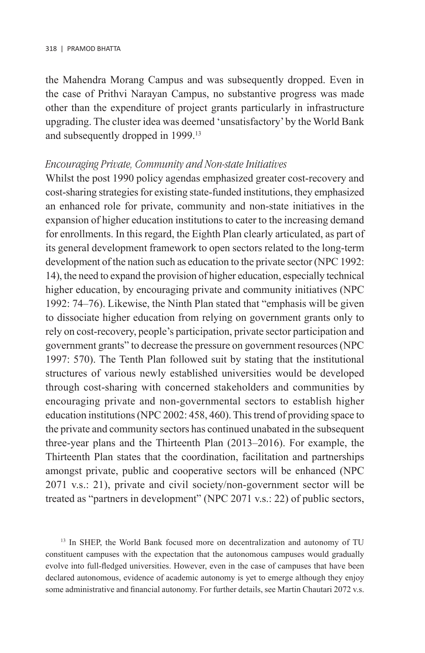the Mahendra Morang Campus and was subsequently dropped. Even in the case of Prithvi Narayan Campus, no substantive progress was made other than the expenditure of project grants particularly in infrastructure upgrading. The cluster idea was deemed 'unsatisfactory' by the World Bank and subsequently dropped in 1999.13

#### *Encouraging Private, Community and Non-state Initiatives*

Whilst the post 1990 policy agendas emphasized greater cost-recovery and cost-sharing strategies for existing state-funded institutions, they emphasized an enhanced role for private, community and non-state initiatives in the expansion of higher education institutions to cater to the increasing demand for enrollments. In this regard, the Eighth Plan clearly articulated, as part of its general development framework to open sectors related to the long-term development of the nation such as education to the private sector (NPC 1992: 14), the need to expand the provision of higher education, especially technical higher education, by encouraging private and community initiatives (NPC 1992: 74–76). Likewise, the Ninth Plan stated that "emphasis will be given to dissociate higher education from relying on government grants only to rely on cost-recovery, people's participation, private sector participation and government grants" to decrease the pressure on government resources (NPC 1997: 570). The Tenth Plan followed suit by stating that the institutional structures of various newly established universities would be developed through cost-sharing with concerned stakeholders and communities by encouraging private and non-governmental sectors to establish higher education institutions (NPC 2002: 458, 460). This trend of providing space to the private and community sectors has continued unabated in the subsequent three-year plans and the Thirteenth Plan (2013–2016). For example, the Thirteenth Plan states that the coordination, facilitation and partnerships amongst private, public and cooperative sectors will be enhanced (NPC 2071 v.s.: 21), private and civil society/non-government sector will be treated as "partners in development" (NPC 2071 v.s.: 22) of public sectors,

<sup>13</sup> In SHEP, the World Bank focused more on decentralization and autonomy of TU constituent campuses with the expectation that the autonomous campuses would gradually evolve into full-fledged universities. However, even in the case of campuses that have been declared autonomous, evidence of academic autonomy is yet to emerge although they enjoy some administrative and financial autonomy. For further details, see Martin Chautari 2072 v.s.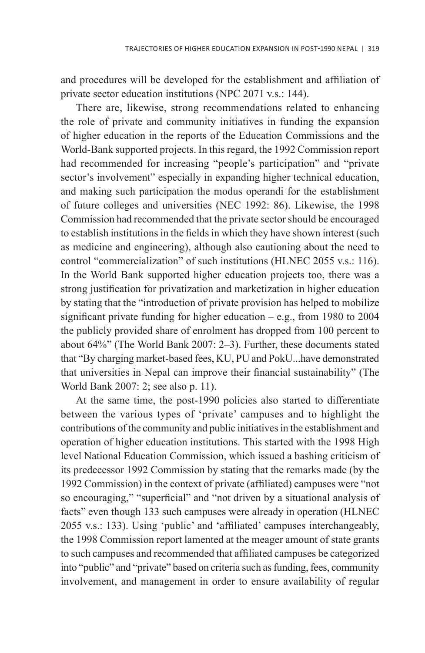and procedures will be developed for the establishment and affiliation of private sector education institutions (NPC 2071 v.s.: 144).

There are, likewise, strong recommendations related to enhancing the role of private and community initiatives in funding the expansion of higher education in the reports of the Education Commissions and the World-Bank supported projects. In this regard, the 1992 Commission report had recommended for increasing "people's participation" and "private sector's involvement" especially in expanding higher technical education, and making such participation the modus operandi for the establishment of future colleges and universities (NEC 1992: 86). Likewise, the 1998 Commission had recommended that the private sector should be encouraged to establish institutions in the fields in which they have shown interest (such as medicine and engineering), although also cautioning about the need to control "commercialization" of such institutions (HLNEC 2055 v.s.: 116). In the World Bank supported higher education projects too, there was a strong justification for privatization and marketization in higher education by stating that the "introduction of private provision has helped to mobilize significant private funding for higher education  $-$  e.g., from 1980 to 2004 the publicly provided share of enrolment has dropped from 100 percent to about 64%" (The World Bank 2007: 2–3). Further, these documents stated that "By charging market-based fees, KU, PU and PokU...have demonstrated that universities in Nepal can improve their financial sustainability" (The World Bank 2007: 2; see also p. 11).

At the same time, the post-1990 policies also started to differentiate between the various types of 'private' campuses and to highlight the contributions of the community and public initiatives in the establishment and operation of higher education institutions. This started with the 1998 High level National Education Commission, which issued a bashing criticism of its predecessor 1992 Commission by stating that the remarks made (by the 1992 Commission) in the context of private (affiliated) campuses were "not so encouraging," "superficial" and "not driven by a situational analysis of facts" even though 133 such campuses were already in operation (HLNEC 2055 v.s.: 133). Using 'public' and 'affiliated' campuses interchangeably, the 1998 Commission report lamented at the meager amount of state grants to such campuses and recommended that affiliated campuses be categorized into "public" and "private" based on criteria such as funding, fees, community involvement, and management in order to ensure availability of regular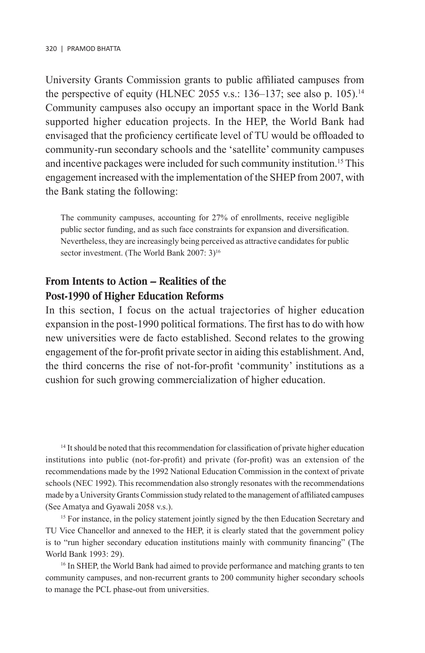University Grants Commission grants to public affiliated campuses from the perspective of equity (HLNEC 2055 v.s.: 136–137; see also p. 105).<sup>14</sup> Community campuses also occupy an important space in the World Bank supported higher education projects. In the HEP, the World Bank had envisaged that the proficiency certificate level of TU would be offloaded to community-run secondary schools and the 'satellite' community campuses and incentive packages were included for such community institution.<sup>15</sup> This engagement increased with the implementation of the SHEP from 2007, with the Bank stating the following:

The community campuses, accounting for 27% of enrollments, receive negligible public sector funding, and as such face constraints for expansion and diversification. Nevertheless, they are increasingly being perceived as attractive candidates for public sector investment. (The World Bank 2007: 3)<sup>16</sup>

# **From Intents to Action – Realities of the Post-1990 of Higher Education Reforms**

In this section, I focus on the actual trajectories of higher education expansion in the post-1990 political formations. The first has to do with how new universities were de facto established. Second relates to the growing engagement of the for-profit private sector in aiding this establishment. And, the third concerns the rise of not-for-profit 'community' institutions as a cushion for such growing commercialization of higher education.

<sup>14</sup> It should be noted that this recommendation for classification of private higher education institutions into public (not-for-profit) and private (for-profit) was an extension of the recommendations made by the 1992 National Education Commission in the context of private schools (NEC 1992). This recommendation also strongly resonates with the recommendations made by a University Grants Commission study related to the management of affiliated campuses (See Amatya and Gyawali 2058 v.s.).

<sup>15</sup> For instance, in the policy statement jointly signed by the then Education Secretary and TU Vice Chancellor and annexed to the HEP, it is clearly stated that the government policy is to "run higher secondary education institutions mainly with community financing" (The World Bank 1993: 29).

<sup>16</sup> In SHEP, the World Bank had aimed to provide performance and matching grants to ten community campuses, and non-recurrent grants to 200 community higher secondary schools to manage the PCL phase-out from universities.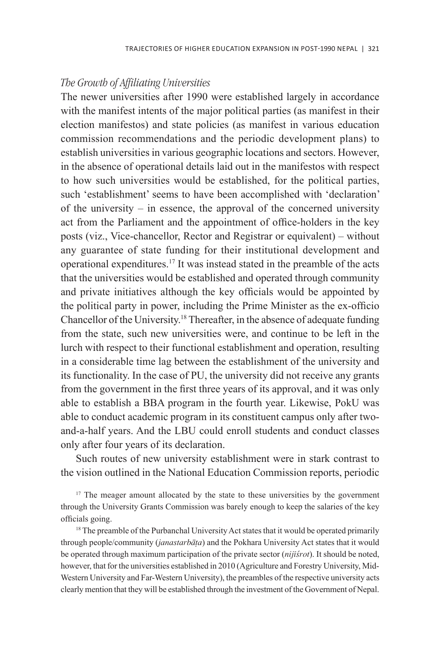# *The Growth of Affiliating Universities*

The newer universities after 1990 were established largely in accordance with the manifest intents of the major political parties (as manifest in their election manifestos) and state policies (as manifest in various education commission recommendations and the periodic development plans) to establish universities in various geographic locations and sectors. However, in the absence of operational details laid out in the manifestos with respect to how such universities would be established, for the political parties, such 'establishment' seems to have been accomplished with 'declaration' of the university – in essence, the approval of the concerned university act from the Parliament and the appointment of office-holders in the key posts (viz., Vice-chancellor, Rector and Registrar or equivalent) – without any guarantee of state funding for their institutional development and operational expenditures.17 It was instead stated in the preamble of the acts that the universities would be established and operated through community and private initiatives although the key officials would be appointed by the political party in power, including the Prime Minister as the ex-officio Chancellor of the University.18 Thereafter, in the absence of adequate funding from the state, such new universities were, and continue to be left in the lurch with respect to their functional establishment and operation, resulting in a considerable time lag between the establishment of the university and its functionality. In the case of PU, the university did not receive any grants from the government in the first three years of its approval, and it was only able to establish a BBA program in the fourth year. Likewise, PokU was able to conduct academic program in its constituent campus only after twoand-a-half years. And the LBU could enroll students and conduct classes only after four years of its declaration.

Such routes of new university establishment were in stark contrast to the vision outlined in the National Education Commission reports, periodic

<sup>17</sup> The meager amount allocated by the state to these universities by the government through the University Grants Commission was barely enough to keep the salaries of the key officials going.

<sup>18</sup> The preamble of the Purbanchal University Act states that it would be operated primarily through people/community (*janastarbàña*) and the Pokhara University Act states that it would be operated through maximum participation of the private sector (*nijã÷rot*). It should be noted, however, that for the universities established in 2010 (Agriculture and Forestry University, Mid-Western University and Far-Western University), the preambles of the respective university acts clearly mention that they will be established through the investment of the Government of Nepal.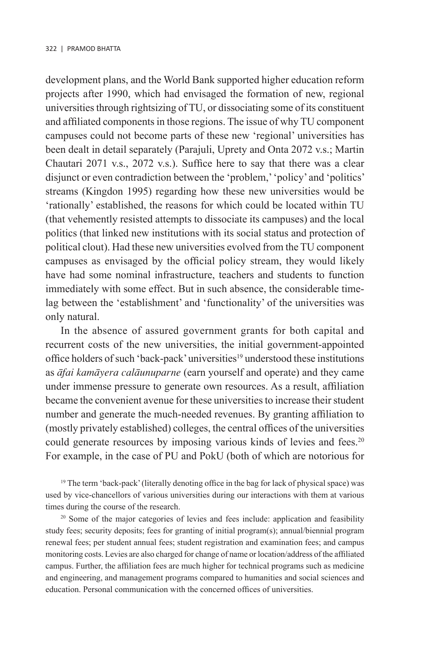development plans, and the World Bank supported higher education reform projects after 1990, which had envisaged the formation of new, regional universities through rightsizing of TU, or dissociating some of its constituent and affiliated components in those regions. The issue of why TU component campuses could not become parts of these new 'regional' universities has been dealt in detail separately (Parajuli, Uprety and Onta 2072 v.s.; Martin Chautari 2071 v.s., 2072 v.s.). Suffice here to say that there was a clear disjunct or even contradiction between the 'problem,' 'policy' and 'politics' streams (Kingdon 1995) regarding how these new universities would be 'rationally' established, the reasons for which could be located within TU (that vehemently resisted attempts to dissociate its campuses) and the local politics (that linked new institutions with its social status and protection of political clout). Had these new universities evolved from the TU component campuses as envisaged by the official policy stream, they would likely have had some nominal infrastructure, teachers and students to function immediately with some effect. But in such absence, the considerable timelag between the 'establishment' and 'functionality' of the universities was only natural.

In the absence of assured government grants for both capital and recurrent costs of the new universities, the initial government-appointed office holders of such 'back-pack' universities<sup>19</sup> understood these institutions as *àfai kamàyera calàunuparne* (earn yourself and operate) and they came under immense pressure to generate own resources. As a result, affiliation became the convenient avenue for these universities to increase their student number and generate the much-needed revenues. By granting affiliation to (mostly privately established) colleges, the central offices of the universities could generate resources by imposing various kinds of levies and fees.<sup>20</sup> For example, in the case of PU and PokU (both of which are notorious for

<sup>19</sup> The term 'back-pack' (literally denoting office in the bag for lack of physical space) was used by vice-chancellors of various universities during our interactions with them at various times during the course of the research.

<sup>20</sup> Some of the major categories of levies and fees include: application and feasibility study fees; security deposits; fees for granting of initial program(s); annual/biennial program renewal fees; per student annual fees; student registration and examination fees; and campus monitoring costs. Levies are also charged for change of name or location/address of the affiliated campus. Further, the affiliation fees are much higher for technical programs such as medicine and engineering, and management programs compared to humanities and social sciences and education. Personal communication with the concerned offices of universities.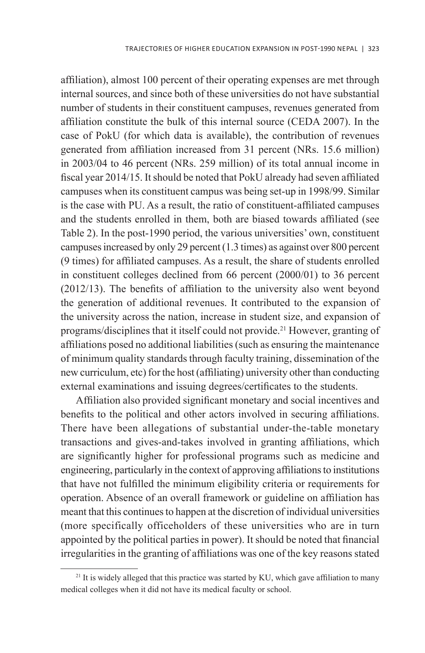affiliation), almost 100 percent of their operating expenses are met through internal sources, and since both of these universities do not have substantial number of students in their constituent campuses, revenues generated from affiliation constitute the bulk of this internal source (CEDA 2007). In the case of PokU (for which data is available), the contribution of revenues generated from affiliation increased from 31 percent (NRs. 15.6 million) in 2003/04 to 46 percent (NRs. 259 million) of its total annual income in fiscal year 2014/15. It should be noted that PokU already had seven affiliated campuses when its constituent campus was being set-up in 1998/99. Similar is the case with PU. As a result, the ratio of constituent-affiliated campuses and the students enrolled in them, both are biased towards affiliated (see Table 2). In the post-1990 period, the various universities' own, constituent campuses increased by only 29 percent (1.3 times) as against over 800 percent (9 times) for affiliated campuses. As a result, the share of students enrolled in constituent colleges declined from 66 percent (2000/01) to 36 percent (2012/13). The benefits of affiliation to the university also went beyond the generation of additional revenues. It contributed to the expansion of the university across the nation, increase in student size, and expansion of programs/disciplines that it itself could not provide.21 However, granting of affiliations posed no additional liabilities (such as ensuring the maintenance of minimum quality standards through faculty training, dissemination of the new curriculum, etc) for the host (affiliating) university other than conducting external examinations and issuing degrees/certificates to the students.

Affiliation also provided significant monetary and social incentives and benefits to the political and other actors involved in securing affiliations. There have been allegations of substantial under-the-table monetary transactions and gives-and-takes involved in granting affiliations, which are significantly higher for professional programs such as medicine and engineering, particularly in the context of approving affiliations to institutions that have not fulfilled the minimum eligibility criteria or requirements for operation. Absence of an overall framework or guideline on affiliation has meant that this continues to happen at the discretion of individual universities (more specifically officeholders of these universities who are in turn appointed by the political parties in power). It should be noted that financial irregularities in the granting of affiliations was one of the key reasons stated

<sup>&</sup>lt;sup>21</sup> It is widely alleged that this practice was started by KU, which gave affiliation to many medical colleges when it did not have its medical faculty or school.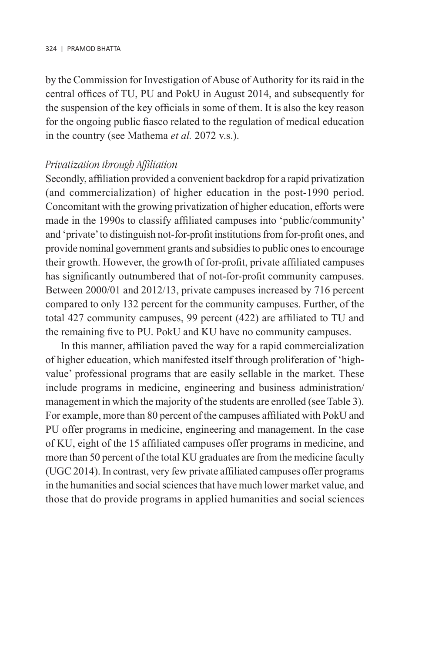by the Commission for Investigation of Abuse of Authority for its raid in the central offices of TU, PU and PokU in August 2014, and subsequently for the suspension of the key officials in some of them. It is also the key reason for the ongoing public fiasco related to the regulation of medical education in the country (see Mathema *et al.* 2072 v.s.).

#### *Privatization through Affiliation*

Secondly, affiliation provided a convenient backdrop for a rapid privatization (and commercialization) of higher education in the post-1990 period. Concomitant with the growing privatization of higher education, efforts were made in the 1990s to classify affiliated campuses into 'public/community' and 'private' to distinguish not-for-profit institutions from for-profit ones, and provide nominal government grants and subsidies to public ones to encourage their growth. However, the growth of for-profit, private affiliated campuses has significantly outnumbered that of not-for-profit community campuses. Between 2000/01 and 2012/13, private campuses increased by 716 percent compared to only 132 percent for the community campuses. Further, of the total 427 community campuses, 99 percent (422) are affiliated to TU and the remaining five to PU. PokU and KU have no community campuses.

In this manner, affiliation paved the way for a rapid commercialization of higher education, which manifested itself through proliferation of 'highvalue' professional programs that are easily sellable in the market. These include programs in medicine, engineering and business administration/ management in which the majority of the students are enrolled (see Table 3). For example, more than 80 percent of the campuses affiliated with PokU and PU offer programs in medicine, engineering and management. In the case of KU, eight of the 15 affiliated campuses offer programs in medicine, and more than 50 percent of the total KU graduates are from the medicine faculty (UGC 2014). In contrast, very few private affiliated campuses offer programs in the humanities and social sciences that have much lower market value, and those that do provide programs in applied humanities and social sciences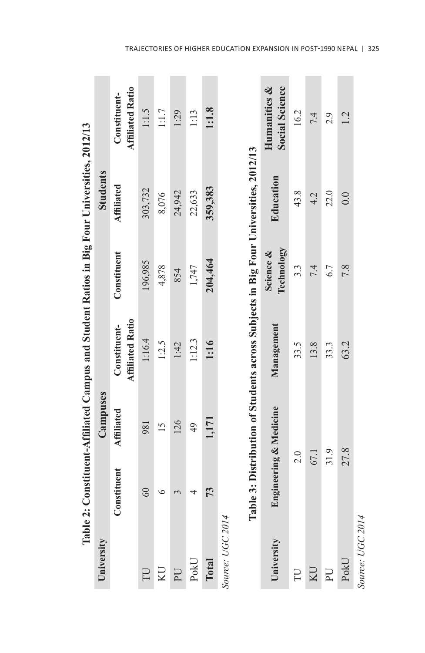|                  |             |                        | Table 2: Constituent-Affiliated Campus and Student Ratios in Big Four Universities, 2012/13 |                         |                 |                                         |
|------------------|-------------|------------------------|---------------------------------------------------------------------------------------------|-------------------------|-----------------|-----------------------------------------|
| University       |             | Campuses               |                                                                                             |                         | <b>Students</b> |                                         |
|                  | Constituent | <b>Affiliated</b>      | <b>Affiliated Ratio</b><br>Constituent-                                                     | Constituent             | Affiliated      | <b>Affiliated Ratio</b><br>Constituent- |
| UT               | 60          | 981                    | 1:16.4                                                                                      | 196,985                 | 303,732         | 1:1.5                                   |
|                  |             | $\overline{15}$        | 1:2.5                                                                                       | 4,878                   | 8,076           | 1:1.7                                   |
|                  |             | 126                    | 1:42                                                                                        | 854                     | 24,942          | 1:29                                    |
| PokU             |             | 49                     | 1:12.3                                                                                      | 1,747                   | 22,633          | 1:13                                    |
| Total            | 73          | 1,171                  | 1:16                                                                                        | 204,464                 | 359,383         | 1:1.8                                   |
| Source: UGC 2014 |             |                        |                                                                                             |                         |                 |                                         |
|                  |             |                        | Table 3: Distribution of Students across Subjects in Big Four Universities, 2012/13         |                         |                 |                                         |
| University       |             | Engineering & Medicine | Management                                                                                  | Technology<br>Science & | Education       | <b>Social Science</b><br>Humanities &   |
| FU               |             | $\frac{0}{2}$          | 33.5                                                                                        | 3.3                     | 43.8            | 16.2                                    |

|                  | Table 3: Distribution of Students across Subjects in Big Four Universities, 2012/13 |            |                         |           |                                       |
|------------------|-------------------------------------------------------------------------------------|------------|-------------------------|-----------|---------------------------------------|
| University       | Engineering & Medicine                                                              | Management | Technology<br>Science & | Education | <b>Social Science</b><br>Humanities & |
| L                | 2.0                                                                                 | 33.5       | 3.3                     | 43.8      | 16.2                                  |
| KU               | 67.1                                                                                | 13.8       |                         | 4.2       | 7.4                                   |
| P <sub>U</sub>   | 31.9                                                                                | 33.3       |                         | 22.0      | 2.9                                   |
| PokU             | 27.8                                                                                | 63.2       |                         | 0.0       | 1.2                                   |
| Source: UGC 2014 |                                                                                     |            |                         |           |                                       |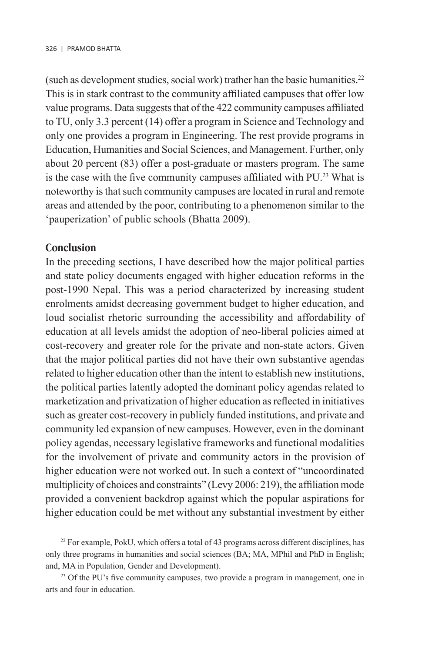(such as development studies, social work) trather han the basic humanities.22 This is in stark contrast to the community affiliated campuses that offer low value programs. Data suggests that of the 422 community campuses affiliated to TU, only 3.3 percent (14) offer a program in Science and Technology and only one provides a program in Engineering. The rest provide programs in Education, Humanities and Social Sciences, and Management. Further, only about 20 percent (83) offer a post-graduate or masters program. The same is the case with the five community campuses affiliated with PU.<sup>23</sup> What is noteworthy is that such community campuses are located in rural and remote areas and attended by the poor, contributing to a phenomenon similar to the 'pauperization' of public schools (Bhatta 2009).

# **Conclusion**

In the preceding sections, I have described how the major political parties and state policy documents engaged with higher education reforms in the post-1990 Nepal. This was a period characterized by increasing student enrolments amidst decreasing government budget to higher education, and loud socialist rhetoric surrounding the accessibility and affordability of education at all levels amidst the adoption of neo-liberal policies aimed at cost-recovery and greater role for the private and non-state actors. Given that the major political parties did not have their own substantive agendas related to higher education other than the intent to establish new institutions, the political parties latently adopted the dominant policy agendas related to marketization and privatization of higher education as reflected in initiatives such as greater cost-recovery in publicly funded institutions, and private and community led expansion of new campuses. However, even in the dominant policy agendas, necessary legislative frameworks and functional modalities for the involvement of private and community actors in the provision of higher education were not worked out. In such a context of "uncoordinated multiplicity of choices and constraints" (Levy 2006: 219), the affiliation mode provided a convenient backdrop against which the popular aspirations for higher education could be met without any substantial investment by either

<sup>22</sup> For example, PokU, which offers a total of 43 programs across different disciplines, has only three programs in humanities and social sciences (BA; MA, MPhil and PhD in English; and, MA in Population, Gender and Development).

<sup>23</sup> Of the PU's five community campuses, two provide a program in management, one in arts and four in education.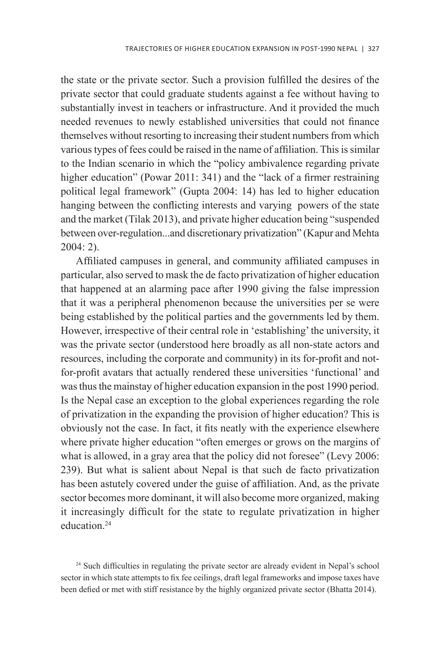the state or the private sector. Such a provision fulfilled the desires of the private sector that could graduate students against a fee without having to substantially invest in teachers or infrastructure. And it provided the much needed revenues to newly established universities that could not finance themselves without resorting to increasing their student numbers from which various types of fees could be raised in the name of affiliation. This is similar to the Indian scenario in which the "policy ambivalence regarding private higher education" (Powar 2011: 341) and the "lack of a firmer restraining political legal framework" (Gupta 2004: 14) has led to higher education hanging between the conflicting interests and varying powers of the state and the market (Tilak 2013), and private higher education being "suspended between over-regulation...and discretionary privatization" (Kapur and Mehta 2004: 2).

Affiliated campuses in general, and community affiliated campuses in particular, also served to mask the de facto privatization of higher education that happened at an alarming pace after 1990 giving the false impression that it was a peripheral phenomenon because the universities per se were being established by the political parties and the governments led by them. However, irrespective of their central role in 'establishing' the university, it was the private sector (understood here broadly as all non-state actors and resources, including the corporate and community) in its for-profit and notfor-profit avatars that actually rendered these universities 'functional' and was thus the mainstay of higher education expansion in the post 1990 period. Is the Nepal case an exception to the global experiences regarding the role of privatization in the expanding the provision of higher education? This is obviously not the case. In fact, it fits neatly with the experience elsewhere where private higher education "often emerges or grows on the margins of what is allowed, in a gray area that the policy did not foresee" (Levy 2006: 239). But what is salient about Nepal is that such de facto privatization has been astutely covered under the guise of affiliation. And, as the private sector becomes more dominant, it will also become more organized, making it increasingly difficult for the state to regulate privatization in higher education<sup>24</sup>

<sup>24</sup> Such difficulties in regulating the private sector are already evident in Nepal's school sector in which state attempts to fix fee ceilings, draft legal frameworks and impose taxes have been defied or met with stiff resistance by the highly organized private sector (Bhatta 2014).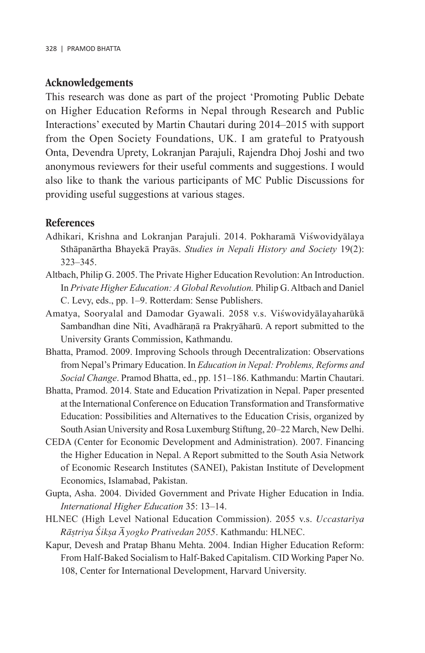# **Acknowledgements**

This research was done as part of the project 'Promoting Public Debate on Higher Education Reforms in Nepal through Research and Public Interactions' executed by Martin Chautari during 2014–2015 with support from the Open Society Foundations, UK. I am grateful to Pratyoush Onta, Devendra Uprety, Lokranjan Parajuli, Rajendra Dhoj Joshi and two anonymous reviewers for their useful comments and suggestions. I would also like to thank the various participants of MC Public Discussions for providing useful suggestions at various stages.

## **References**

- Adhikari, Krishna and Lokranjan Parajuli. 2014. Pokharamā Viśwovidyālaya Sthàpanàrtha Bhayekà Prayàs. *Studies in Nepali History and Society* 19(2): 323–345.
- Altbach, Philip G. 2005. The Private Higher Education Revolution: An Introduction. In *Private Higher Education: A Global Revolution.* Philip G. Altbach and Daniel C. Levy, eds., pp. 1–9. Rotterdam: Sense Publishers.
- Amatya, Sooryalal and Damodar Gyawali. 2058 v.s. Viśwovidyālayaharūkā Sambandhan dine Nīti, Avadhāraņā ra Prakryāharū. A report submitted to the University Grants Commission, Kathmandu.
- Bhatta, Pramod. 2009. Improving Schools through Decentralization: Observations from Nepal's Primary Education. In *Education in Nepal: Problems, Reforms and Social Change*. Pramod Bhatta, ed., pp. 151–186. Kathmandu: Martin Chautari.
- Bhatta, Pramod. 2014. State and Education Privatization in Nepal. Paper presented at the International Conference on Education Transformation and Transformative Education: Possibilities and Alternatives to the Education Crisis, organized by South Asian University and Rosa Luxemburg Stiftung, 20–22 March, New Delhi.
- CEDA (Center for Economic Development and Administration). 2007. Financing the Higher Education in Nepal. A Report submitted to the South Asia Network of Economic Research Institutes (SANEI), Pakistan Institute of Development Economics, Islamabad, Pakistan.
- Gupta, Asha. 2004. Divided Government and Private Higher Education in India. *International Higher Education* 35: 13–14.
- HLNEC (High Level National Education Commission). 2055 v.s. *Uccastarãya Ràùtriya øikùa âyogko Prativedan 2055*. Kathmandu: HLNEC.
- Kapur, Devesh and Pratap Bhanu Mehta. 2004. Indian Higher Education Reform: From Half-Baked Socialism to Half-Baked Capitalism. CID Working Paper No. 108, Center for International Development, Harvard University.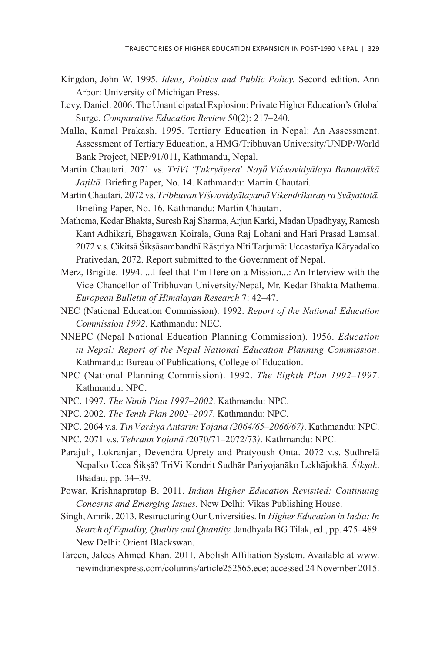- Kingdon, John W. 1995. *Ideas, Politics and Public Policy.* Second edition. Ann Arbor: University of Michigan Press.
- Levy, Daniel. 2006. The Unanticipated Explosion: Private Higher Education's Global Surge. *Comparative Education Review* 50(2): 217–240.
- Malla, Kamal Prakash. 1995. Tertiary Education in Nepal: An Assessment. Assessment of Tertiary Education, a HMG/Tribhuvan University/UNDP/World Bank Project, NEP/91/011, Kathmandu, Nepal.
- Martin Chautari. 2071 vs. *TriVi 'Tukryāyera' Nayā Viśwovidyālaya Banaudākā Jañiltà.* Briefing Paper, No. 14. Kathmandu: Martin Chautari.
- Martin Chautari. 2072 vs. *Tribhuvan Viśwovidyālayamā Vikendrīkaraņ ra Svāyattatā*. Briefing Paper, No. 16. Kathmandu: Martin Chautari.
- Mathema, Kedar Bhakta, Suresh Raj Sharma, Arjun Karki, Madan Upadhyay, Ramesh Kant Adhikari, Bhagawan Koirala, Guna Raj Lohani and Hari Prasad Lamsal. 2072 v.s. Cikitsā Śiksāsambandhī Rāstriya Nīti Tarjumā: Uccastarīya Kāryadalko Prativedan, 2072. Report submitted to the Government of Nepal.
- Merz, Brigitte. 1994. ...I feel that I'm Here on a Mission...: An Interview with the Vice-Chancellor of Tribhuvan University/Nepal, Mr. Kedar Bhakta Mathema. *European Bulletin of Himalayan Research* 7: 42–47.
- NEC (National Education Commission). 1992. *Report of the National Education Commission 1992*. Kathmandu: NEC.
- NNEPC (Nepal National Education Planning Commission). 1956. *Education in Nepal: Report of the Nepal National Education Planning Commission*. Kathmandu: Bureau of Publications, College of Education.
- NPC (National Planning Commission). 1992. *The Eighth Plan 1992–1997*. Kathmandu: NPC.
- NPC. 1997. *The Ninth Plan 1997–2002*. Kathmandu: NPC.
- NPC. 2002. *The Tenth Plan 2002–2007*. Kathmandu: NPC.
- NPC. 2064 v.s. *Tãn Var÷ãya Antarim Yojanà (2064/65–2066/67)*. Kathmandu: NPC.
- NPC. 2071 v.s. *Tehraun Yojanà (*2070/71–2072/73*)*. Kathmandu: NPC.
- Parajuli, Lokranjan, Devendra Uprety and Pratyoush Onta. 2072 v.s. Sudhrelà Nepalko Ucca Śiksā? TriVi Kendrit Sudhār Pariyojanāko Lekhājokhā. Śiksak, Bhadau, pp. 34–39.
- Powar, Krishnapratap B. 2011. *Indian Higher Education Revisited: Continuing Concerns and Emerging Issues.* New Delhi: Vikas Publishing House.
- Singh, Amrik. 2013. Restructuring Our Universities. In *Higher Education in India: In Search of Equality, Quality and Quantity.* Jandhyala BG Tilak, ed., pp. 475–489. New Delhi: Orient Blackswan.
- Tareen, Jalees Ahmed Khan. 2011. Abolish Affiliation System. Available at www. newindianexpress.com/columns/article252565.ece; accessed 24 November 2015.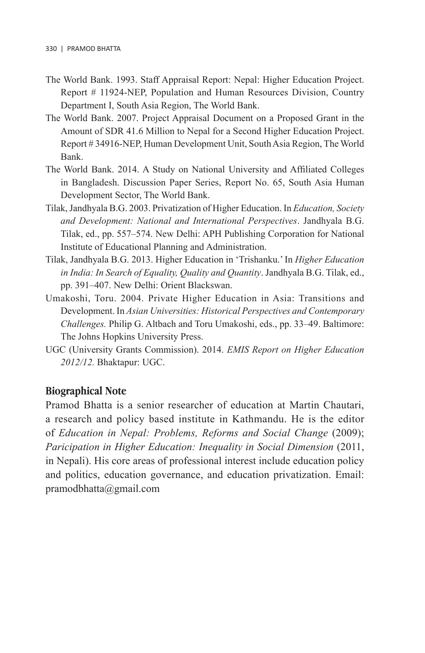- The World Bank. 1993. Staff Appraisal Report: Nepal: Higher Education Project. Report # 11924-NEP, Population and Human Resources Division, Country Department I, South Asia Region, The World Bank.
- The World Bank. 2007. Project Appraisal Document on a Proposed Grant in the Amount of SDR 41.6 Million to Nepal for a Second Higher Education Project. Report # 34916-NEP, Human Development Unit, South Asia Region, The World Bank.
- The World Bank. 2014. A Study on National University and Affiliated Colleges in Bangladesh. Discussion Paper Series, Report No. 65, South Asia Human Development Sector, The World Bank.
- Tilak, Jandhyala B.G. 2003. Privatization of Higher Education. In *Education, Society and Development: National and International Perspectives*. Jandhyala B.G. Tilak, ed., pp. 557–574. New Delhi: APH Publishing Corporation for National Institute of Educational Planning and Administration.
- Tilak, Jandhyala B.G. 2013. Higher Education in 'Trishanku.' In *Higher Education in India: In Search of Equality, Quality and Quantity*. Jandhyala B.G. Tilak, ed., pp. 391–407. New Delhi: Orient Blackswan.
- Umakoshi, Toru. 2004. Private Higher Education in Asia: Transitions and Development. In *Asian Universities: Historical Perspectives and Contemporary Challenges.* Philip G. Altbach and Toru Umakoshi, eds., pp. 33–49. Baltimore: The Johns Hopkins University Press.
- UGC (University Grants Commission). 2014. *EMIS Report on Higher Education 2012/12.* Bhaktapur: UGC.

# **Biographical Note**

Pramod Bhatta is a senior researcher of education at Martin Chautari, a research and policy based institute in Kathmandu. He is the editor of *Education in Nepal: Problems, Reforms and Social Change* (2009); *Paricipation in Higher Education: Inequality in Social Dimension* (2011, in Nepali). His core areas of professional interest include education policy and politics, education governance, and education privatization. Email: pramodbhatta@gmail.com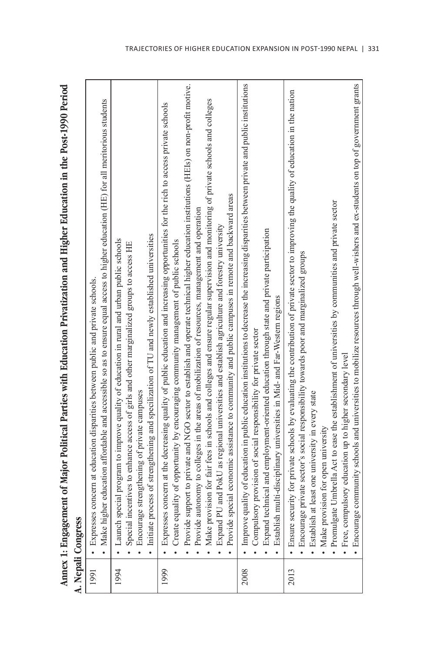Annex 1: Engagement of Major Political Parties with Education Privatization and Higher Education in the Post-1990 Period **Annex 1: Engagement of Major Political Parties with Education Privatization and Higher Education in the Post-1990 Period** Manali Concress

|      | A. Nepali Congress                                                                                                                                                                                                                                               |
|------|------------------------------------------------------------------------------------------------------------------------------------------------------------------------------------------------------------------------------------------------------------------|
| 1991 | • Make higher education affordable and accessible so as to ensure equal access to higher education (HE) for all meritorious students<br>Expresses concern at education disparities between public and private schools                                            |
| 1994 | · Launch special program to improve quality of education in rural and urban public schools<br>Special incentives to enhance access of girls and other marginalized groups to access HE                                                                           |
|      | Initiate process of strengthening and specilization of TU and newly established universities<br>• Encourage strengthening of private campuses                                                                                                                    |
| 1999 | • Expresses concern at the decreasing quality of public education and increasing opportunities for the rich to access private schools<br>Create equality of opportunity by encouraging community management of public schools                                    |
|      | Provide support to private and NGO sector to establish and operate technical higher education institutions (HEIs) on non-profit motive.                                                                                                                          |
|      | Make provision for fair fees in schools and colleges and ensure regular supervision and monitoring of private schools and colleges<br>• Provide autonomy to colleges in the areas of mobilization of resources, management and operation<br>$\ddot{\phantom{0}}$ |
|      | Provide special economic assistance to community and public campuses in remote and backward areas<br>• Expand PU and PokU as regional universities and establish agriculture and forestry university                                                             |
| 2008 | • Improve quality of education in public education institutions to decrease the increasing disparities between private and public institutions                                                                                                                   |
|      | • Compulsory provision of social responsibility for private sector                                                                                                                                                                                               |
|      | • Expand technical and employment-oriented education through state and private participation<br>Establish multi-disciplinary universities in Mid- and Far-Western regions                                                                                        |
| 2013 | • Ensure security for private schools by evaluating the contribution of private sector to improving the quality of education in the nation                                                                                                                       |
|      | · Encourage private sector's social responsibility towards poor and marginalized groups<br>· Establish at least one university in every state                                                                                                                    |
|      | • Make provision for open university                                                                                                                                                                                                                             |
|      | • Promulgate Umbrella Act to ease the establishment of universities by communities and private sector                                                                                                                                                            |
|      | • Free, compulsory education up to higher secondary level                                                                                                                                                                                                        |
|      | • Encourage community schools and universities to mobilize resources through well-wishers and ex-students on top of government grants                                                                                                                            |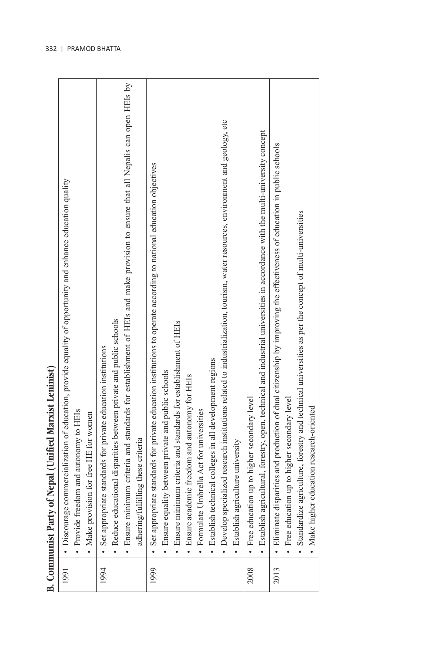| J      |
|--------|
|        |
|        |
| Ċ<br>i |
| Ì<br>ś |
|        |

|      | B. Communist Party of Nepal (Unified Marxist Leninist)                                                                           |
|------|----------------------------------------------------------------------------------------------------------------------------------|
| 1991 | • Discourage commercialization of education, provide equality of opportunity and enhance education quality                       |
|      | · Provide freedom and autonomy to HEIs                                                                                           |
|      | Make provision for free HE for women                                                                                             |
| 1994 | • Set appropriate standards for private education institutions                                                                   |
|      | Reduce educational disparities between private and public schools                                                                |
|      | • Ensure minimum criteria and standards for establishment of HEIs and make provision to ensure that all Nepalis can open HEIs by |
|      | adhering/fulfilling these criteria                                                                                               |
| 1999 | • Set appropriate standards for private education institutions to operate according to national education objectives             |
|      | Ensure equality between private and public schools                                                                               |
|      | • Ensure minimum criteria and standards for establishment of HEIs                                                                |
|      | • Ensure academic freedom and autonomy for HEIs                                                                                  |
|      | • Formulate Umbrella Act for universities                                                                                        |
|      | • Establish technical colleges in all development regions                                                                        |
|      | · Develop specialized research institutions related to industrialization, tourism, water resources, environment and geology, etc |
|      | · Establish agriculture university                                                                                               |
| 2008 | • Free education up to higher secondary level                                                                                    |
|      | • Establish agricultural, forestry, open, technical and industrial universities in accordance with the multi-university concept  |
| 2013 | · Eliminate disparities and production of dual citizenship by improving the effectiveness of education in public schools         |
|      | • Free education up to higher secondary level                                                                                    |
|      | · Standardize agriculture, forestry and technical universities as per the concept of multi-universities                          |
|      | Make higher education research-oriented                                                                                          |